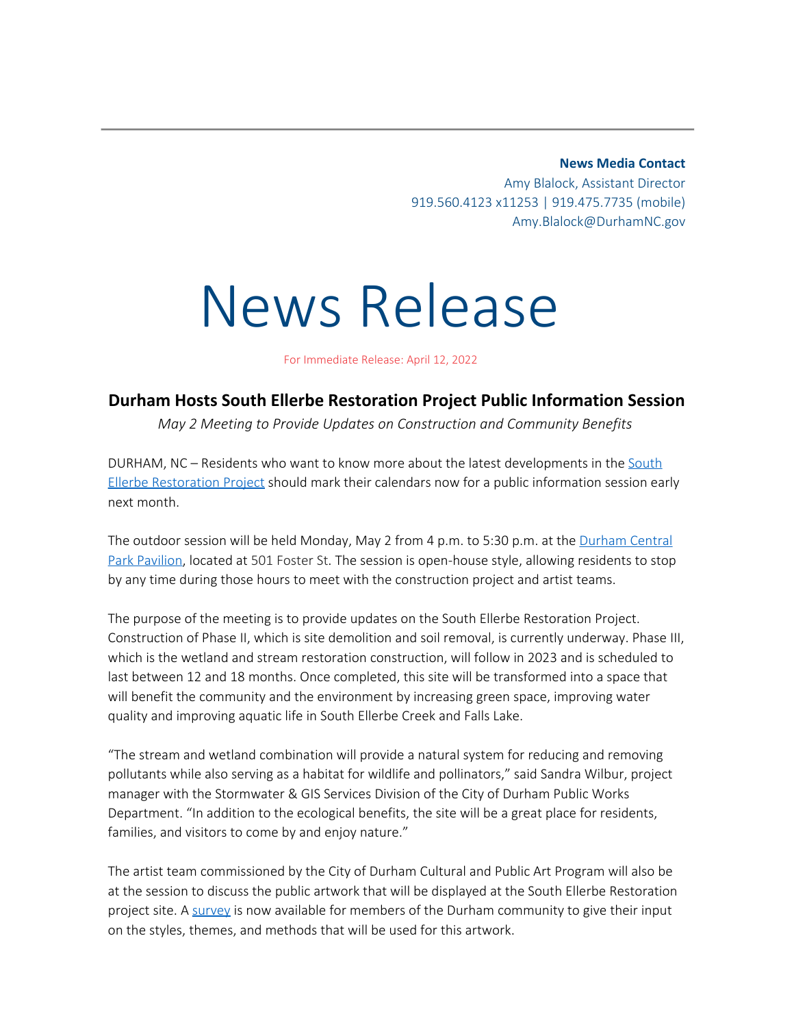**News Media Contact**

Amy Blalock, Assistant Director 919.560.4123 x11253 | 919.475.7735 (mobile) Amy.Blalock@DurhamNC.gov

## News Release

For Immediate Release: April 12, 2022

## **Durham Hosts South Ellerbe Restoration Project Public Information Session**

*May 2 Meeting to Provide Updates on Construction and Community Benefits*

DURHAM, NC – Residents who want to know more about the latest developments in the [South](http://durhamnc.gov/1616/South-Ellerbe-Stormwater-Project) [Ellerbe Restoration Project](http://durhamnc.gov/1616/South-Ellerbe-Stormwater-Project) should mark their calendars now for a public information session early next month.

The outdoor session will be held Monday, May 2 from 4 p.m. to 5:30 p.m. at the [Durham Central](https://durhamcentralpark.org/) [Park Pavilion](https://durhamcentralpark.org/), located at 501 Foster St. The session is open-house style, allowing residents to stop by any time during those hours to meet with the construction project and artist teams.

The purpose of the meeting is to provide updates on the South Ellerbe Restoration Project. Construction of Phase II, which is site demolition and soil removal, is currently underway. Phase III, which is the wetland and stream restoration construction, will follow in 2023 and is scheduled to last between 12 and 18 months. Once completed, this site will be transformed into a space that will benefit the community and the environment by increasing green space, improving water quality and improving aquatic life in South Ellerbe Creek and Falls Lake.

"The stream and wetland combination will provide a natural system for reducing and removing pollutants while also serving as a habitat for wildlife and pollinators," said Sandra Wilbur, project manager with the Stormwater & GIS Services Division of the City of Durham Public Works Department. "In addition to the ecological benefits, the site will be a great place for residents, families, and visitors to come by and enjoy nature."

The artist team commissioned by the City of Durham Cultural and Public Art Program will also be at the session to discuss the public artwork that will be displayed at the South Ellerbe Restoration project site. A [survey](https://www.durhamnc.gov/4598/South-Ellerbe-Restoration-Project) is now available for members of the Durham community to give their input on the styles, themes, and methods that will be used for this artwork.